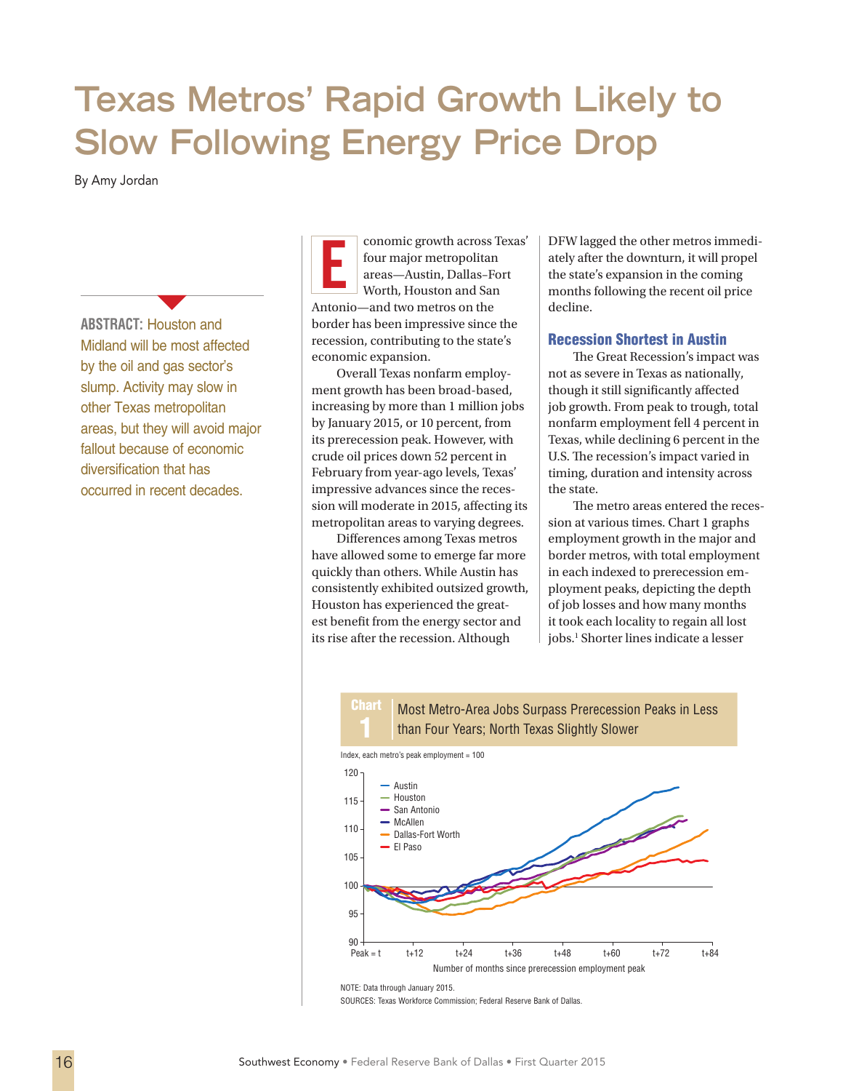# **Texas Metros' Rapid Growth Likely to Slow Following Energy Price Drop**

By Amy Jordan

**ABSTRACT:** Houston and Midland will be most affected by the oil and gas sector's slump. Activity may slow in other Texas metropolitan areas, but they will avoid major fallout because of economic diversification that has occurred in recent decades.

**1999** 

conomic growth across Texas' four major metropolitan areas—Austin, Dallas–Fort Worth, Houston and San Antonio—and two metros on the border has been impressive since the recession, contributing to the state's economic expansion.

Overall Texas nonfarm employment growth has been broad-based, increasing by more than 1 million jobs by January 2015, or 10 percent, from its prerecession peak. However, with crude oil prices down 52 percent in February from year-ago levels, Texas' impressive advances since the recession will moderate in 2015, affecting its metropolitan areas to varying degrees.

Differences among Texas metros have allowed some to emerge far more quickly than others. While Austin has consistently exhibited outsized growth, Houston has experienced the greatest benefit from the energy sector and its rise after the recession. Although

Conomic growth across Texas' DFW lagged the other metros immedi-<br>four major metropolitan areas—Austin, Dallas–Fort worth, Houston and San areas—Austin and San areas—Austin and San areas—Austin and San areas areas and San a ately after the downturn, it will propel the state's expansion in the coming months following the recent oil price decline.

# Recession Shortest in Austin

The Great Recession's impact was not as severe in Texas as nationally, though it still significantly affected job growth. From peak to trough, total nonfarm employment fell 4 percent in Texas, while declining 6 percent in the U.S. The recession's impact varied in timing, duration and intensity across the state.

The metro areas entered the recession at various times. Chart 1 graphs employment growth in the major and border metros, with total employment in each indexed to prerecession employment peaks, depicting the depth of job losses and how many months it took each locality to regain all lost jobs.<sup>1</sup> Shorter lines indicate a lesser

#### **Chart** Most Metro-Area Jobs Surpass Prerecession Peaks in Less than Four Years; North Texas Slightly Slower



NOTE: Data through January 2015.

SOURCES: Texas Workforce Commission; Federal Reserve Bank of Dallas.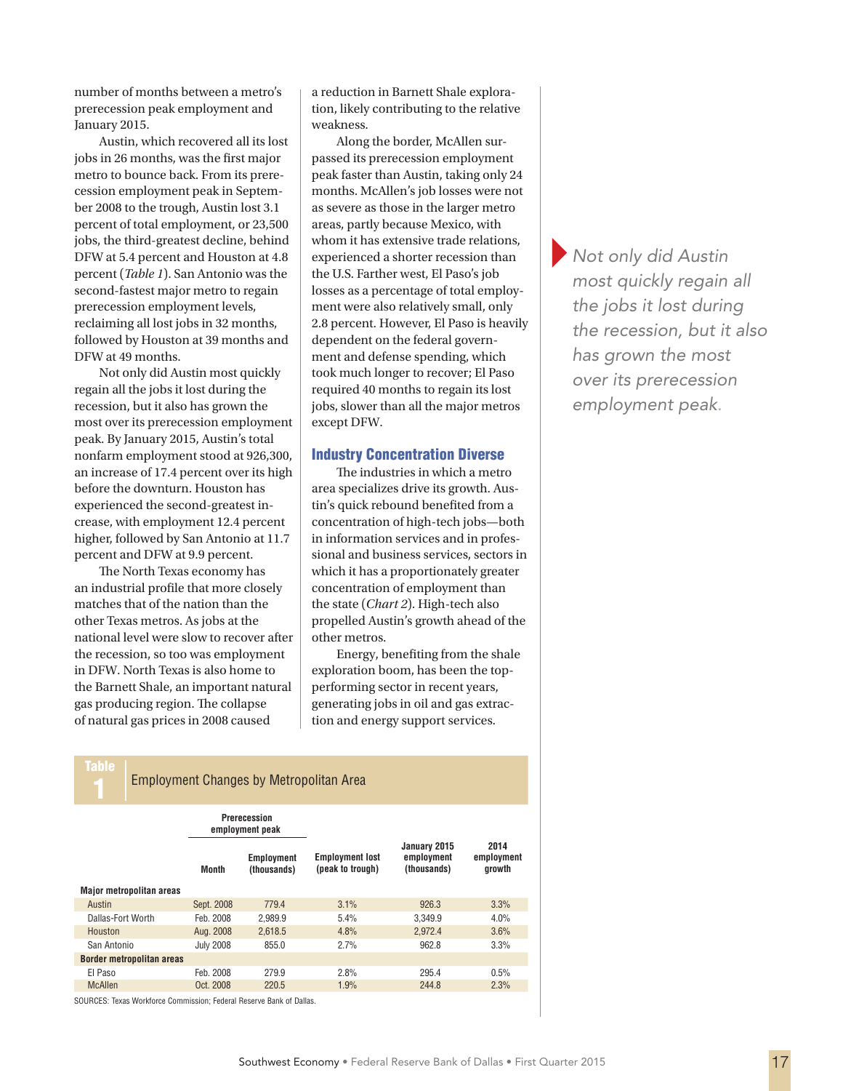number of months between a metro's prerecession peak employment and January 2015.

Austin, which recovered all its lost jobs in 26 months, was the first major metro to bounce back. From its prerecession employment peak in September 2008 to the trough, Austin lost 3.1 percent of total employment, or 23,500 jobs, the third-greatest decline, behind DFW at 5.4 percent and Houston at 4.8 percent (*Table 1*). San Antonio was the second-fastest major metro to regain prerecession employment levels, reclaiming all lost jobs in 32 months, followed by Houston at 39 months and DFW at 49 months.

Not only did Austin most quickly regain all the jobs it lost during the recession, but it also has grown the most over its prerecession employment peak. By January 2015, Austin's total nonfarm employment stood at 926,300, an increase of 17.4 percent over its high before the downturn. Houston has experienced the second-greatest increase, with employment 12.4 percent higher, followed by San Antonio at 11.7 percent and DFW at 9.9 percent.

The North Texas economy has an industrial profile that more closely matches that of the nation than the other Texas metros. As jobs at the national level were slow to recover after the recession, so too was employment in DFW. North Texas is also home to the Barnett Shale, an important natural gas producing region. The collapse of natural gas prices in 2008 caused

a reduction in Barnett Shale exploration, likely contributing to the relative weakness.

Along the border, McAllen surpassed its prerecession employment peak faster than Austin, taking only 24 months. McAllen's job losses were not as severe as those in the larger metro areas, partly because Mexico, with whom it has extensive trade relations, experienced a shorter recession than the U.S. Farther west, El Paso's job losses as a percentage of total employment were also relatively small, only 2.8 percent. However, El Paso is heavily dependent on the federal government and defense spending, which took much longer to recover; El Paso required 40 months to regain its lost jobs, slower than all the major metros except DFW.

### Industry Concentration Diverse

The industries in which a metro area specializes drive its growth. Austin's quick rebound benefited from a concentration of high-tech jobs—both in information services and in professional and business services, sectors in which it has a proportionately greater concentration of employment than the state (*Chart 2*). High-tech also propelled Austin's growth ahead of the other metros.

Energy, benefiting from the shale exploration boom, has been the topperforming sector in recent years, generating jobs in oil and gas extraction and energy support services.

Table

**Employment Changes by Metropolitan Area** 

|                                  | Prerecession<br>employment peak |                           |                                            |                                           |                              |
|----------------------------------|---------------------------------|---------------------------|--------------------------------------------|-------------------------------------------|------------------------------|
|                                  | Month                           | Employment<br>(thousands) | <b>Employment lost</b><br>(peak to trough) | January 2015<br>employment<br>(thousands) | 2014<br>employment<br>growth |
| <b>Major metropolitan areas</b>  |                                 |                           |                                            |                                           |                              |
| Austin                           | Sept. 2008                      | 779.4                     | 3.1%                                       | 926.3                                     | 3.3%                         |
| Dallas-Fort Worth                | Feb. 2008                       | 2.989.9                   | 5.4%                                       | 3.349.9                                   | $4.0\%$                      |
| Houston                          | Aug. 2008                       | 2.618.5                   | 4.8%                                       | 2.972.4                                   | 3.6%                         |
| San Antonio                      | <b>July 2008</b>                | 855.0                     | 2.7%                                       | 962.8                                     | 3.3%                         |
| <b>Border metropolitan areas</b> |                                 |                           |                                            |                                           |                              |
| El Paso                          | Feb. 2008                       | 279.9                     | 2.8%                                       | 295.4                                     | 0.5%                         |
| <b>McAllen</b>                   | Oct. 2008                       | 220.5                     | 1.9%                                       | 244.8                                     | 2.3%                         |

SOURCES: Texas Workforce Commission; Federal Reserve Bank of Dallas.

}*Not only did Austin most quickly regain all the jobs it lost during the recession, but it also has grown the most over its prerecession employment peak.*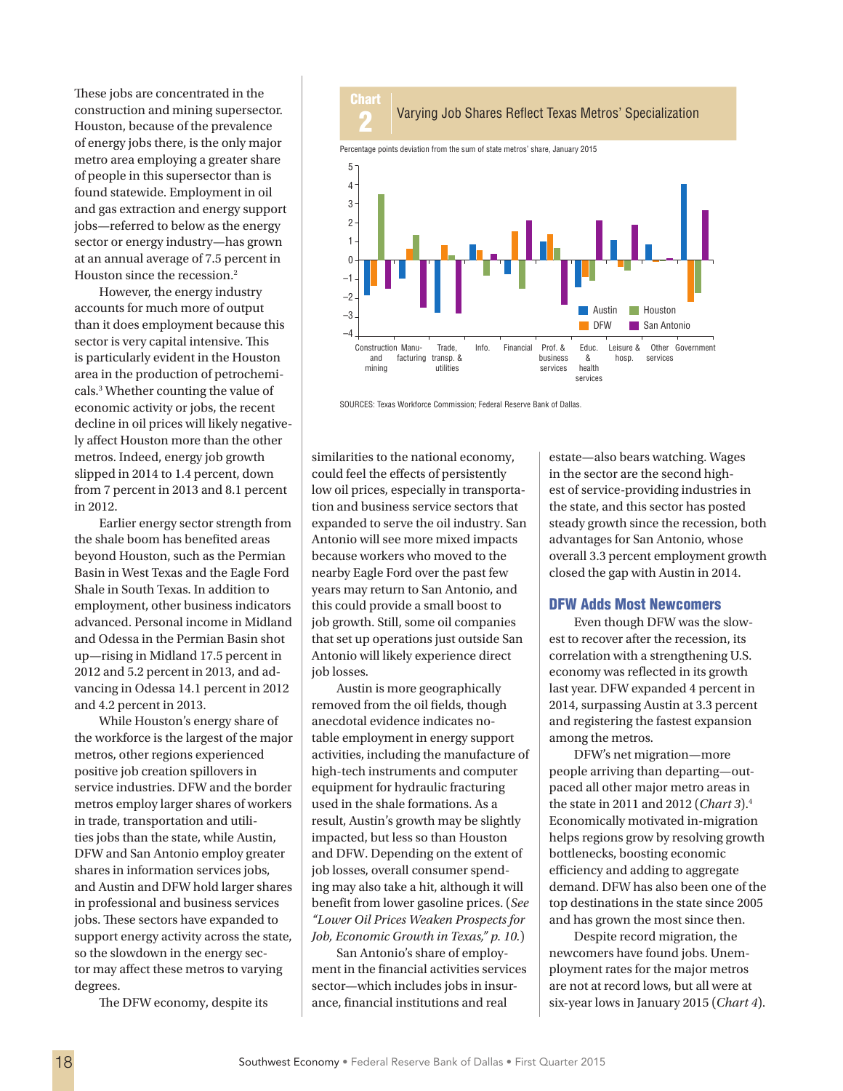These jobs are concentrated in the construction and mining supersector. Houston, because of the prevalence of energy jobs there, is the only major metro area employing a greater share of people in this supersector than is found statewide. Employment in oil and gas extraction and energy support jobs—referred to below as the energy sector or energy industry—has grown at an annual average of 7.5 percent in Houston since the recession.<sup>2</sup>

However, the energy industry accounts for much more of output than it does employment because this sector is very capital intensive. This is particularly evident in the Houston area in the production of petrochemicals.3 Whether counting the value of economic activity or jobs, the recent decline in oil prices will likely negatively affect Houston more than the other metros. Indeed, energy job growth slipped in 2014 to 1.4 percent, down from 7 percent in 2013 and 8.1 percent in 2012.

Earlier energy sector strength from the shale boom has benefited areas beyond Houston, such as the Permian Basin in West Texas and the Eagle Ford Shale in South Texas. In addition to employment, other business indicators advanced. Personal income in Midland and Odessa in the Permian Basin shot up—rising in Midland 17.5 percent in 2012 and 5.2 percent in 2013, and advancing in Odessa 14.1 percent in 2012 and 4.2 percent in 2013.

While Houston's energy share of the workforce is the largest of the major metros, other regions experienced positive job creation spillovers in service industries. DFW and the border metros employ larger shares of workers in trade, transportation and utilities jobs than the state, while Austin, DFW and San Antonio employ greater shares in information services jobs, and Austin and DFW hold larger shares in professional and business services jobs. These sectors have expanded to support energy activity across the state, so the slowdown in the energy sector may affect these metros to varying degrees.

The DFW economy, despite its



SOURCES: Texas Workforce Commission; Federal Reserve Bank of Dallas.

similarities to the national economy, could feel the effects of persistently low oil prices, especially in transportation and business service sectors that expanded to serve the oil industry. San Antonio will see more mixed impacts because workers who moved to the nearby Eagle Ford over the past few years may return to San Antonio, and this could provide a small boost to job growth. Still, some oil companies that set up operations just outside San Antonio will likely experience direct job losses.

Austin is more geographically removed from the oil fields, though anecdotal evidence indicates notable employment in energy support activities, including the manufacture of high-tech instruments and computer equipment for hydraulic fracturing used in the shale formations. As a result, Austin's growth may be slightly impacted, but less so than Houston and DFW. Depending on the extent of job losses, overall consumer spending may also take a hit, although it will benefit from lower gasoline prices. (*See ["Lower Oil Prices Weaken Prospects for](swe1501d.pdf)  Job, Economic Growth in Texas," p. 10.*)

San Antonio's share of employment in the financial activities services sector—which includes jobs in insurance, financial institutions and real

estate—also bears watching. Wages in the sector are the second highest of service-providing industries in the state, and this sector has posted steady growth since the recession, both advantages for San Antonio, whose overall 3.3 percent employment growth closed the gap with Austin in 2014.

## DFW Adds Most Newcomers

Even though DFW was the slowest to recover after the recession, its correlation with a strengthening U.S. economy was reflected in its growth last year. DFW expanded 4 percent in 2014, surpassing Austin at 3.3 percent and registering the fastest expansion among the metros.

DFW's net migration—more people arriving than departing—outpaced all other major metro areas in the state in 2011 and 2012 (*Chart 3*).4 Economically motivated in-migration helps regions grow by resolving growth bottlenecks, boosting economic efficiency and adding to aggregate demand. DFW has also been one of the top destinations in the state since 2005 and has grown the most since then.

Despite record migration, the newcomers have found jobs. Unemployment rates for the major metros are not at record lows, but all were at six-year lows in January 2015 (*Chart 4*).